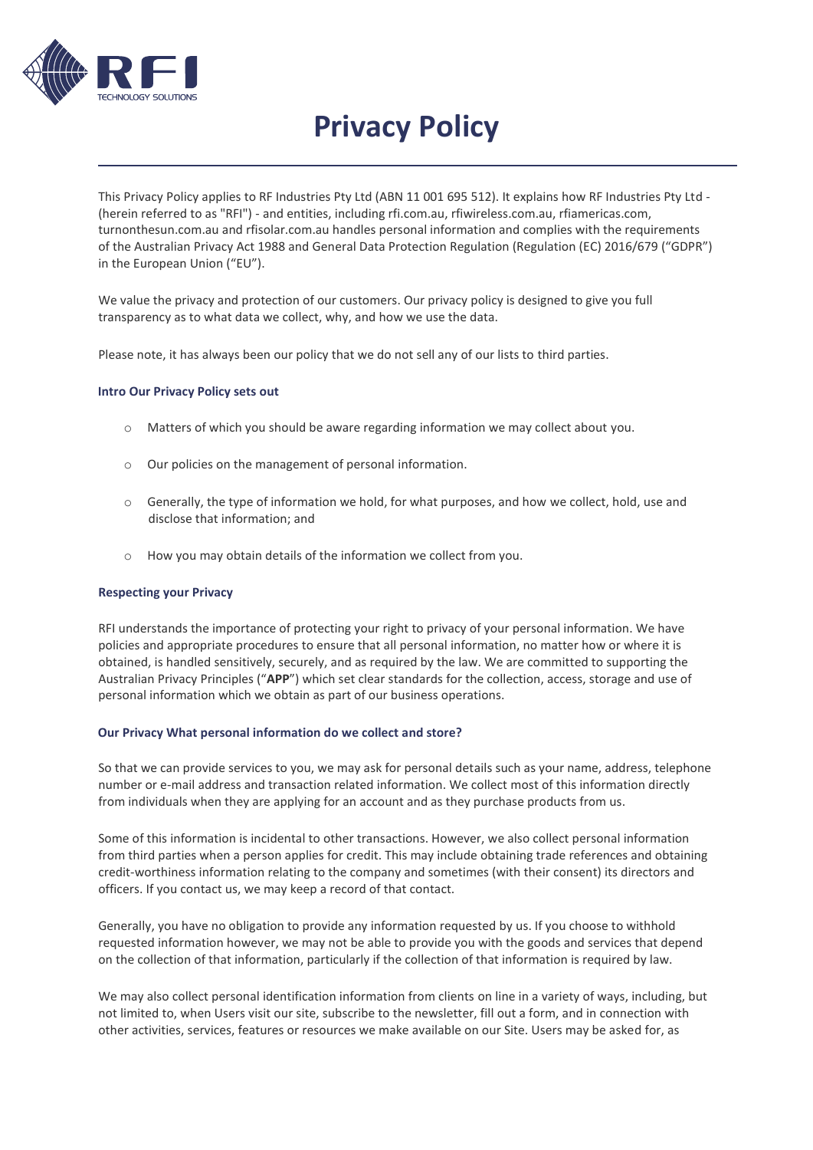

# **Privacy Policy**

This Privacy Policy applies to RF Industries Pty Ltd (ABN 11 001 695 512). It explains how RF Industries Pty Ltd - (herein referred to as "RFI") - and entities, including rfi.com.au, rfiwireless.com.au, rfiamericas.com, turnonthesun.com.au and rfisolar.com.au handles personal information and complies with the requirements of the Australian Privacy Act 1988 and General Data Protection Regulation (Regulation (EC) 2016/679 ("GDPR") in the European Union ("EU").

We value the privacy and protection of our customers. Our privacy policy is designed to give you full transparency as to what data we collect, why, and how we use the data.

Please note, it has always been our policy that we do not sell any of our lists to third parties.

#### **Intro Our Privacy Policy sets out**

- o Matters of which you should be aware regarding information we may collect about you.
- o Our policies on the management of personal information.
- $\circ$  Generally, the type of information we hold, for what purposes, and how we collect, hold, use and disclose that information; and
- o How you may obtain details of the information we collect from you.

#### **Respecting your Privacy**

RFI understands the importance of protecting your right to privacy of your personal information. We have policies and appropriate procedures to ensure that all personal information, no matter how or where it is obtained, is handled sensitively, securely, and as required by the law. We are committed to supporting the Australian Privacy Principles ("**APP**") which set clear standards for the collection, access, storage and use of personal information which we obtain as part of our business operations.

#### **Our Privacy What personal information do we collect and store?**

So that we can provide services to you, we may ask for personal details such as your name, address, telephone number or e-mail address and transaction related information. We collect most of this information directly from individuals when they are applying for an account and as they purchase products from us.

Some of this information is incidental to other transactions. However, we also collect personal information from third parties when a person applies for credit. This may include obtaining trade references and obtaining credit-worthiness information relating to the company and sometimes (with their consent) its directors and officers. If you contact us, we may keep a record of that contact.

Generally, you have no obligation to provide any information requested by us. If you choose to withhold requested information however, we may not be able to provide you with the goods and services that depend on the collection of that information, particularly if the collection of that information is required by law.

We may also collect personal identification information from clients on line in a variety of ways, including, but not limited to, when Users visit our site, subscribe to the newsletter, fill out a form, and in connection with other activities, services, features or resources we make available on our Site. Users may be asked for, as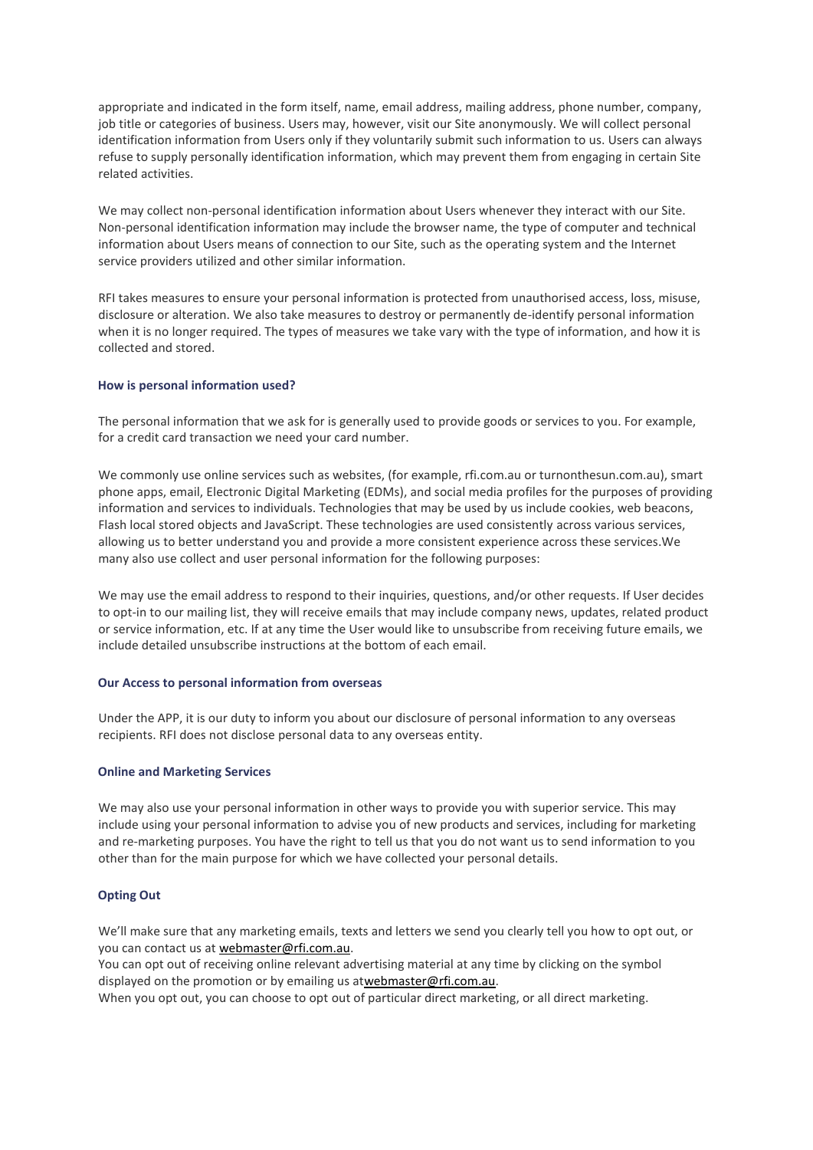appropriate and indicated in the form itself, name, email address, mailing address, phone number, company, job title or categories of business. Users may, however, visit our Site anonymously. We will collect personal identification information from Users only if they voluntarily submit such information to us. Users can always refuse to supply personally identification information, which may prevent them from engaging in certain Site related activities.

We may collect non-personal identification information about Users whenever they interact with our Site. Non-personal identification information may include the browser name, the type of computer and technical information about Users means of connection to our Site, such as the operating system and the Internet service providers utilized and other similar information.

RFI takes measures to ensure your personal information is protected from unauthorised access, loss, misuse, disclosure or alteration. We also take measures to destroy or permanently de-identify personal information when it is no longer required. The types of measures we take vary with the type of information, and how it is collected and stored.

#### **How is personal information used?**

The personal information that we ask for is generally used to provide goods or services to you. For example, for a credit card transaction we need your card number.

We commonly use online services such as websites, (for example, rfi.com.au or turnonthesun.com.au), smart phone apps, email, Electronic Digital Marketing (EDMs), and social media profiles for the purposes of providing information and services to individuals. Technologies that may be used by us include cookies, web beacons, Flash local stored objects and JavaScript. These technologies are used consistently across various services, allowing us to better understand you and provide a more consistent experience across these services.We many also use collect and user personal information for the following purposes:

We may use the email address to respond to their inquiries, questions, and/or other requests. If User decides to opt-in to our mailing list, they will receive emails that may include company news, updates, related product or service information, etc. If at any time the User would like to unsubscribe from receiving future emails, we include detailed unsubscribe instructions at the bottom of each email.

#### **Our Access to personal information from overseas**

Under the APP, it is our duty to inform you about our disclosure of personal information to any overseas recipients. RFI does not disclose personal data to any overseas entity.

#### **Online and Marketing Services**

We may also use your personal information in other ways to provide you with superior service. This may include using your personal information to advise you of new products and services, including for marketing and re-marketing purposes. You have the right to tell us that you do not want us to send information to you other than for the main purpose for which we have collected your personal details.

# **Opting Out**

We'll make sure that any marketing emails, texts and letters we send you clearly tell you how to opt out, or you can contact us at [webmaster@rfi.com.au.](mailto:webmaster@rfi.com.au)

You can opt out of receiving online relevant advertising material at any time by clicking on the symbol displayed on the promotion or by emailing us a[twebmaster@rfi.com.au.](mailto:webmaster@rfi.com.au)

When you opt out, you can choose to opt out of particular direct marketing, or all direct marketing.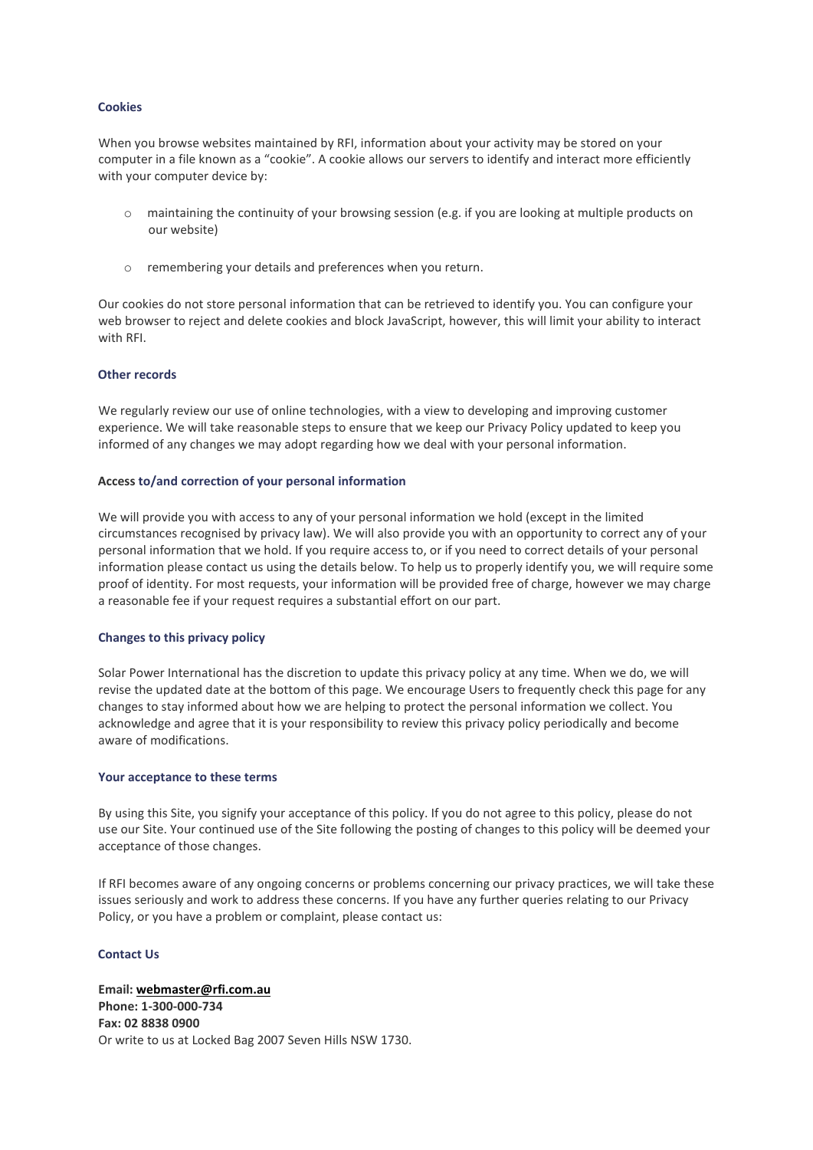#### **Cookies**

When you browse websites maintained by RFI, information about your activity may be stored on your computer in a file known as a "cookie". A cookie allows our servers to identify and interact more efficiently with your computer device by:

- $\circ$  maintaining the continuity of your browsing session (e.g. if you are looking at multiple products on our website)
- o remembering your details and preferences when you return.

Our cookies do not store personal information that can be retrieved to identify you. You can configure your web browser to reject and delete cookies and block JavaScript, however, this will limit your ability to interact with RFI.

#### **Other records**

We regularly review our use of online technologies, with a view to developing and improving customer experience. We will take reasonable steps to ensure that we keep our Privacy Policy updated to keep you informed of any changes we may adopt regarding how we deal with your personal information.

#### **Access to/and correction of your personal information**

We will provide you with access to any of your personal information we hold (except in the limited circumstances recognised by privacy law). We will also provide you with an opportunity to correct any of your personal information that we hold. If you require access to, or if you need to correct details of your personal information please contact us using the details below. To help us to properly identify you, we will require some proof of identity. For most requests, your information will be provided free of charge, however we may charge a reasonable fee if your request requires a substantial effort on our part.

# **Changes to this privacy policy**

Solar Power International has the discretion to update this privacy policy at any time. When we do, we will revise the updated date at the bottom of this page. We encourage Users to frequently check this page for any changes to stay informed about how we are helping to protect the personal information we collect. You acknowledge and agree that it is your responsibility to review this privacy policy periodically and become aware of modifications.

#### **Your acceptance to these terms**

By using this Site, you signify your acceptance of this policy. If you do not agree to this policy, please do not use our Site. Your continued use of the Site following the posting of changes to this policy will be deemed your acceptance of those changes.

If RFI becomes aware of any ongoing concerns or problems concerning our privacy practices, we will take these issues seriously and work to address these concerns. If you have any further queries relating to our Privacy Policy, or you have a problem or complaint, please contact us:

#### **Contact Us**

**Email: [webmaster@rfi.com.au](mailto:webmaster@rfi.com.au) Phone: 1-300-000-734 Fax: 02 8838 0900** Or write to us at Locked Bag 2007 Seven Hills NSW 1730.